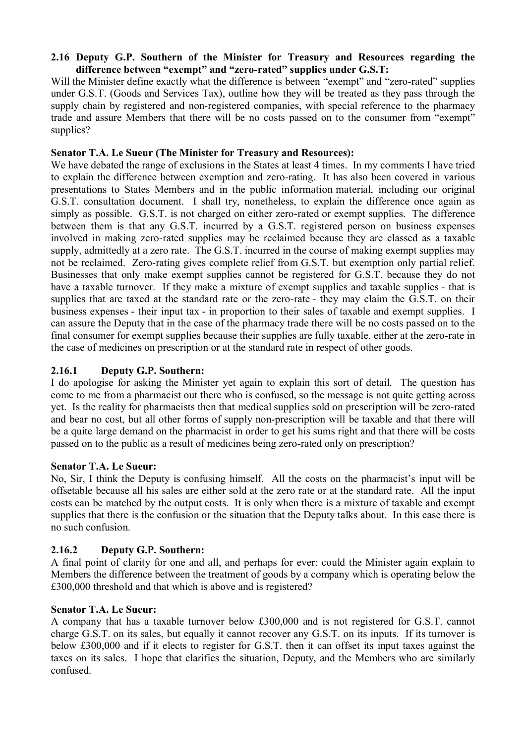## **2.16 Deputy G.P. Southern of the Minister for Treasury and Resources regarding the difference between "exempt" and "zero-rated" supplies under G.S.T:**

Will the Minister define exactly what the difference is between "exempt" and "zero-rated" supplies under G.S.T. (Goods and Services Tax), outline how they will be treated as they pass through the supply chain by registered and non-registered companies, with special reference to the pharmacy trade and assure Members that there will be no costs passed on to the consumer from "exempt" supplies?

## **Senator T.A. Le Sueur (The Minister for Treasury and Resources):**

We have debated the range of exclusions in the States at least 4 times. In my comments I have tried to explain the difference between exemption and zero-rating. It has also been covered in various presentations to States Members and in the public information material, including our original G.S.T. consultation document. I shall try, nonetheless, to explain the difference once again as simply as possible. G.S.T. is not charged on either zero-rated or exempt supplies. The difference between them is that any G.S.T. incurred by a G.S.T. registered person on business expenses involved in making zero-rated supplies may be reclaimed because they are classed as a taxable supply, admittedly at a zero rate. The G.S.T. incurred in the course of making exempt supplies may not be reclaimed. Zero-rating gives complete relief from G.S.T. but exemption only partial relief. Businesses that only make exempt supplies cannot be registered for G.S.T. because they do not have a taxable turnover. If they make a mixture of exempt supplies and taxable supplies - that is supplies that are taxed at the standard rate or the zero-rate - they may claim the G.S.T. on their business expenses - their input tax - in proportion to their sales of taxable and exempt supplies. I can assure the Deputy that in the case of the pharmacy trade there will be no costs passed on to the final consumer for exempt supplies because their supplies are fully taxable, either at the zero-rate in the case of medicines on prescription or at the standard rate in respect of other goods.

## **2.16.1 Deputy G.P. Southern:**

I do apologise for asking the Minister yet again to explain this sort of detail. The question has come to me from a pharmacist out there who is confused, so the message is not quite getting across yet. Is the reality for pharmacists then that medical supplies sold on prescription will be zero-rated and bear no cost, but all other forms of supply non-prescription will be taxable and that there will be a quite large demand on the pharmacist in order to get his sums right and that there will be costs passed on to the public as a result of medicines being zero-rated only on prescription?

## **Senator T.A. Le Sueur:**

No, Sir, I think the Deputy is confusing himself. All the costs on the pharmacist's input will be offsetable because all his sales are either sold at the zero rate or at the standard rate. All the input costs can be matched by the output costs. It is only when there is a mixture of taxable and exempt supplies that there is the confusion or the situation that the Deputy talks about. In this case there is no such confusion.

## **2.16.2 Deputy G.P. Southern:**

A final point of clarity for one and all, and perhaps for ever: could the Minister again explain to Members the difference between the treatment of goods by a company which is operating below the £300,000 threshold and that which is above and is registered?

## **Senator T.A. Le Sueur:**

A company that has a taxable turnover below £300,000 and is not registered for G.S.T. cannot charge G.S.T. on its sales, but equally it cannot recover any G.S.T. on its inputs. If its turnover is below £300,000 and if it elects to register for G.S.T. then it can offset its input taxes against the taxes on its sales. I hope that clarifies the situation, Deputy, and the Members who are similarly confused.